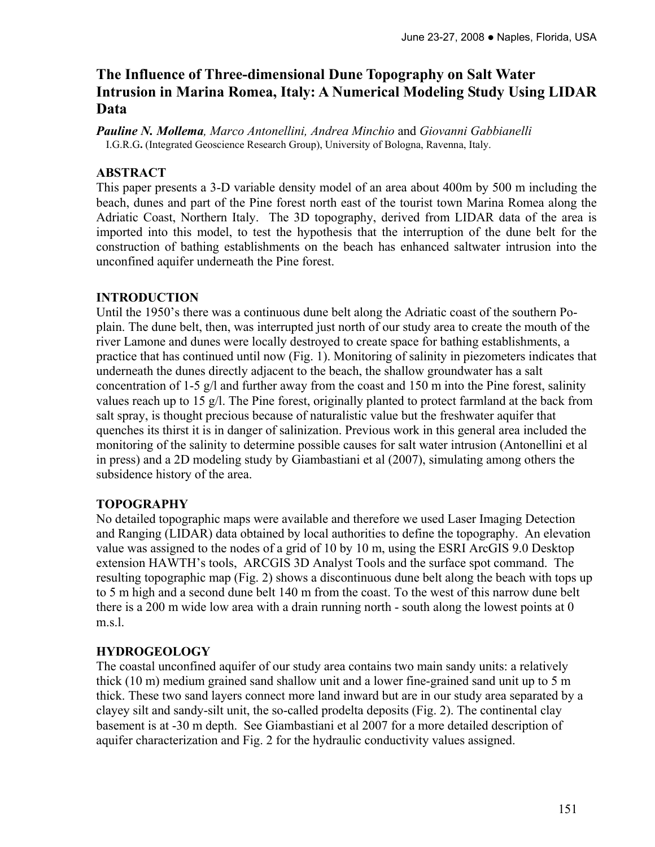# **The Influence of Three-dimensional Dune Topography on Salt Water Intrusion in Marina Romea, Italy: A Numerical Modeling Study Using LIDAR Data**

*Pauline N. Mollema, Marco Antonellini, Andrea Minchio* and *Giovanni Gabbianelli*  I.G.R.G**.** (Integrated Geoscience Research Group), University of Bologna, Ravenna, Italy.

## **ABSTRACT**

This paper presents a 3-D variable density model of an area about 400m by 500 m including the beach, dunes and part of the Pine forest north east of the tourist town Marina Romea along the Adriatic Coast, Northern Italy. The 3D topography, derived from LIDAR data of the area is imported into this model, to test the hypothesis that the interruption of the dune belt for the construction of bathing establishments on the beach has enhanced saltwater intrusion into the unconfined aquifer underneath the Pine forest.

## **INTRODUCTION**

Until the 1950's there was a continuous dune belt along the Adriatic coast of the southern Poplain. The dune belt, then, was interrupted just north of our study area to create the mouth of the river Lamone and dunes were locally destroyed to create space for bathing establishments, a practice that has continued until now (Fig. 1). Monitoring of salinity in piezometers indicates that underneath the dunes directly adjacent to the beach, the shallow groundwater has a salt concentration of 1-5 g/l and further away from the coast and 150 m into the Pine forest, salinity values reach up to 15 g/l. The Pine forest, originally planted to protect farmland at the back from salt spray, is thought precious because of naturalistic value but the freshwater aquifer that quenches its thirst it is in danger of salinization. Previous work in this general area included the monitoring of the salinity to determine possible causes for salt water intrusion (Antonellini et al in press) and a 2D modeling study by Giambastiani et al (2007), simulating among others the subsidence history of the area.

## **TOPOGRAPHY**

No detailed topographic maps were available and therefore we used Laser Imaging Detection and Ranging (LIDAR) data obtained by local authorities to define the topography. An elevation value was assigned to the nodes of a grid of 10 by 10 m, using the ESRI ArcGIS 9.0 Desktop extension HAWTH's tools, ARCGIS 3D Analyst Tools and the surface spot command. The resulting topographic map (Fig. 2) shows a discontinuous dune belt along the beach with tops up to 5 m high and a second dune belt 140 m from the coast. To the west of this narrow dune belt there is a 200 m wide low area with a drain running north - south along the lowest points at 0 m.s.1

## **HYDROGEOLOGY**

The coastal unconfined aquifer of our study area contains two main sandy units: a relatively thick (10 m) medium grained sand shallow unit and a lower fine-grained sand unit up to 5 m thick. These two sand layers connect more land inward but are in our study area separated by a clayey silt and sandy-silt unit, the so-called prodelta deposits (Fig. 2). The continental clay basement is at -30 m depth. See Giambastiani et al 2007 for a more detailed description of aquifer characterization and Fig. 2 for the hydraulic conductivity values assigned.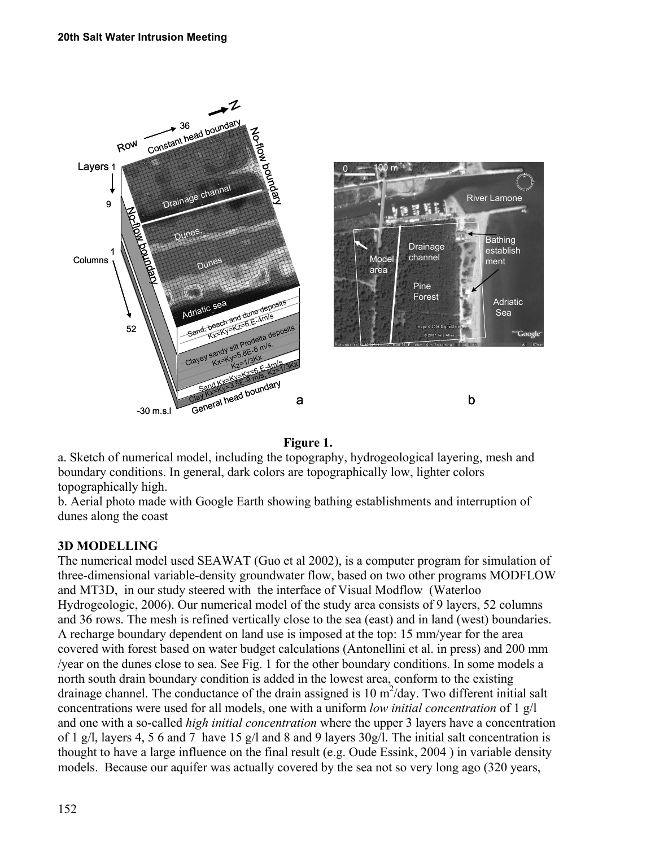

#### **Figure 1.**

a. Sketch of numerical model, including the topography, hydrogeological layering, mesh and boundary conditions. In general, dark colors are topographically low, lighter colors topographically high.

b. Aerial photo made with Google Earth showing bathing establishments and interruption of dunes along the coast

## **3D MODELLING**

The numerical model used SEAWAT (Guo et al 2002), is a computer program for simulation of three-dimensional variable-density groundwater flow, based on two other programs MODFLOW and MT3D, in our study steered with the interface of Visual Modflow (Waterloo Hydrogeologic, 2006). Our numerical model of the study area consists of 9 layers, 52 columns and 36 rows. The mesh is refined vertically close to the sea (east) and in land (west) boundaries. A recharge boundary dependent on land use is imposed at the top: 15 mm/year for the area covered with forest based on water budget calculations (Antonellini et al. in press) and 200 mm /year on the dunes close to sea. See Fig. 1 for the other boundary conditions. In some models a north south drain boundary condition is added in the lowest area, conform to the existing drainage channel. The conductance of the drain assigned is 10  $m^2$ /day. Two different initial salt concentrations were used for all models, one with a uniform *low initial concentration* of 1 g/l and one with a so-called *high initial concentration* where the upper 3 layers have a concentration of 1 g/l, layers 4, 5 6 and 7 have 15 g/l and 8 and 9 layers  $30g/l$ . The initial salt concentration is thought to have a large influence on the final result (e.g. Oude Essink, 2004 ) in variable density models. Because our aquifer was actually covered by the sea not so very long ago (320 years,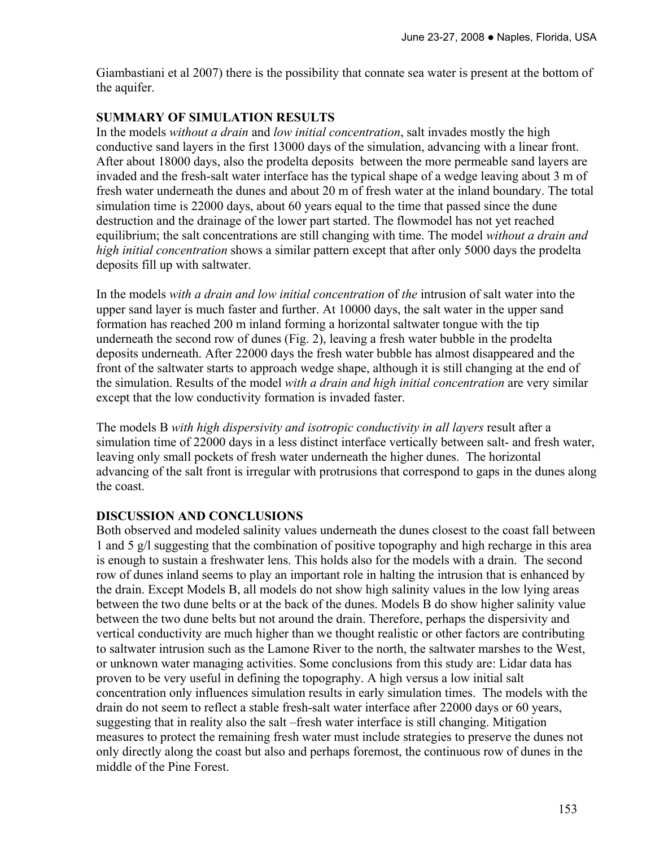Giambastiani et al 2007) there is the possibility that connate sea water is present at the bottom of the aquifer.

## **SUMMARY OF SIMULATION RESULTS**

In the models *without a drain* and *low initial concentration*, salt invades mostly the high conductive sand layers in the first 13000 days of the simulation, advancing with a linear front. After about 18000 days, also the prodelta deposits between the more permeable sand layers are invaded and the fresh-salt water interface has the typical shape of a wedge leaving about 3 m of fresh water underneath the dunes and about 20 m of fresh water at the inland boundary. The total simulation time is 22000 days, about 60 years equal to the time that passed since the dune destruction and the drainage of the lower part started. The flowmodel has not yet reached equilibrium; the salt concentrations are still changing with time. The model *without a drain and high initial concentration* shows a similar pattern except that after only 5000 days the prodelta deposits fill up with saltwater.

In the models *with a drain and low initial concentration* of *the* intrusion of salt water into the upper sand layer is much faster and further. At 10000 days, the salt water in the upper sand formation has reached 200 m inland forming a horizontal saltwater tongue with the tip underneath the second row of dunes (Fig. 2), leaving a fresh water bubble in the prodelta deposits underneath. After 22000 days the fresh water bubble has almost disappeared and the front of the saltwater starts to approach wedge shape, although it is still changing at the end of the simulation. Results of the model *with a drain and high initial concentration* are very similar except that the low conductivity formation is invaded faster.

The models B *with high dispersivity and isotropic conductivity in all layers* result after a simulation time of 22000 days in a less distinct interface vertically between salt- and fresh water, leaving only small pockets of fresh water underneath the higher dunes. The horizontal advancing of the salt front is irregular with protrusions that correspond to gaps in the dunes along the coast.

## **DISCUSSION AND CONCLUSIONS**

Both observed and modeled salinity values underneath the dunes closest to the coast fall between 1 and 5 g/l suggesting that the combination of positive topography and high recharge in this area is enough to sustain a freshwater lens. This holds also for the models with a drain. The second row of dunes inland seems to play an important role in halting the intrusion that is enhanced by the drain. Except Models B, all models do not show high salinity values in the low lying areas between the two dune belts or at the back of the dunes. Models B do show higher salinity value between the two dune belts but not around the drain. Therefore, perhaps the dispersivity and vertical conductivity are much higher than we thought realistic or other factors are contributing to saltwater intrusion such as the Lamone River to the north, the saltwater marshes to the West, or unknown water managing activities. Some conclusions from this study are: Lidar data has proven to be very useful in defining the topography. A high versus a low initial salt concentration only influences simulation results in early simulation times. The models with the drain do not seem to reflect a stable fresh-salt water interface after 22000 days or 60 years, suggesting that in reality also the salt –fresh water interface is still changing. Mitigation measures to protect the remaining fresh water must include strategies to preserve the dunes not only directly along the coast but also and perhaps foremost, the continuous row of dunes in the middle of the Pine Forest.